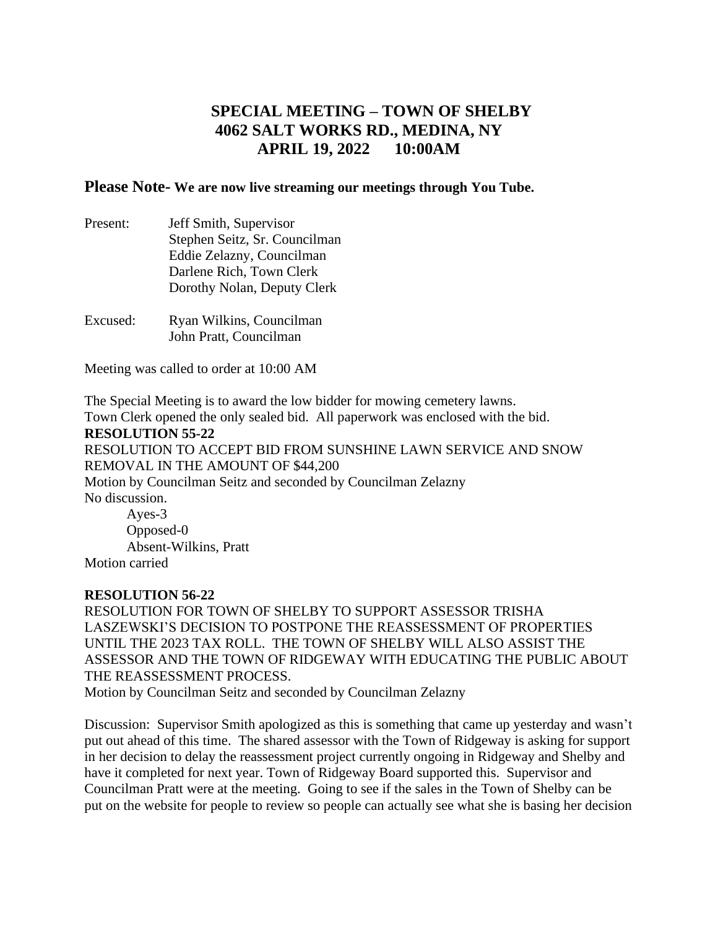## **SPECIAL MEETING – TOWN OF SHELBY 4062 SALT WORKS RD., MEDINA, NY APRIL 19, 2022 10:00AM**

## **Please Note- We are now live streaming our meetings through You Tube.**

| Present: | Jeff Smith, Supervisor        |
|----------|-------------------------------|
|          | Stephen Seitz, Sr. Councilman |
|          | Eddie Zelazny, Councilman     |
|          | Darlene Rich, Town Clerk      |
|          | Dorothy Nolan, Deputy Clerk   |
| Excused: | Ryan Wilkins, Councilman      |

John Pratt, Councilman

Meeting was called to order at 10:00 AM

The Special Meeting is to award the low bidder for mowing cemetery lawns. Town Clerk opened the only sealed bid. All paperwork was enclosed with the bid.

## **RESOLUTION 55-22**

RESOLUTION TO ACCEPT BID FROM SUNSHINE LAWN SERVICE AND SNOW REMOVAL IN THE AMOUNT OF \$44,200 Motion by Councilman Seitz and seconded by Councilman Zelazny No discussion. Ayes-3 Opposed-0

Absent-Wilkins, Pratt Motion carried

## **RESOLUTION 56-22**

RESOLUTION FOR TOWN OF SHELBY TO SUPPORT ASSESSOR TRISHA LASZEWSKI'S DECISION TO POSTPONE THE REASSESSMENT OF PROPERTIES UNTIL THE 2023 TAX ROLL. THE TOWN OF SHELBY WILL ALSO ASSIST THE ASSESSOR AND THE TOWN OF RIDGEWAY WITH EDUCATING THE PUBLIC ABOUT THE REASSESSMENT PROCESS.

Motion by Councilman Seitz and seconded by Councilman Zelazny

Discussion: Supervisor Smith apologized as this is something that came up yesterday and wasn't put out ahead of this time. The shared assessor with the Town of Ridgeway is asking for support in her decision to delay the reassessment project currently ongoing in Ridgeway and Shelby and have it completed for next year. Town of Ridgeway Board supported this. Supervisor and Councilman Pratt were at the meeting. Going to see if the sales in the Town of Shelby can be put on the website for people to review so people can actually see what she is basing her decision